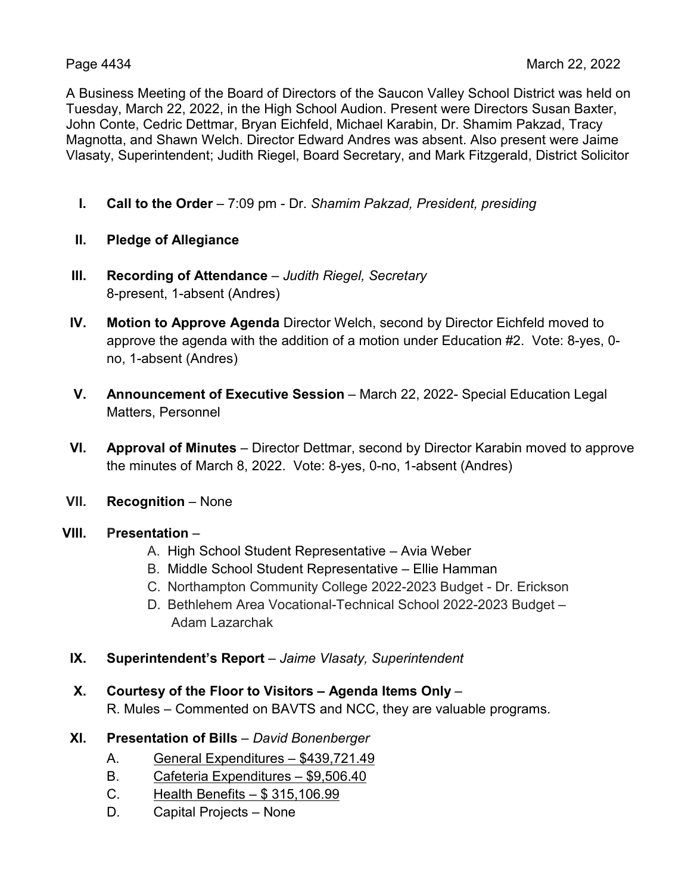A Business Meeting of the Board of Directors of the Saucon Valley School District was held on Tuesday, March 22, 2022, in the High School Audion. Present were Directors Susan Baxter, John Conte, Cedric Dettmar, Bryan Eichfeld, Michael Karabin, Dr. Shamim Pakzad, Tracy Magnotta, and Shawn Welch. Director Edward Andres was absent. Also present were Jaime Vlasaty, Superintendent; Judith Riegel, Board Secretary, and Mark Fitzgerald, District Solicitor

- **I. Call to the Order** 7:09 pm Dr. *Shamim Pakzad, President, presiding*
- **II. Pledge of Allegiance**
- **III. Recording of Attendance** *Judith Riegel, Secretary* 8-present, 1-absent (Andres)
- **IV. Motion to Approve Agenda** Director Welch, second by Director Eichfeld moved to approve the agenda with the addition of a motion under Education #2. Vote: 8-yes, 0 no, 1-absent (Andres)
- **V. Announcement of Executive Session** March 22, 2022- Special Education Legal Matters, Personnel
- **VI. Approval of Minutes** Director Dettmar, second by Director Karabin moved to approve the minutes of March 8, 2022. Vote: 8-yes, 0-no, 1-absent (Andres)
- **VII. Recognition** None

## **VIII. Presentation** –

- A. High School Student Representative Avia Weber
- B. Middle School Student Representative Ellie Hamman
- C. Northampton Community College 2022-2023 Budget Dr. Erickson
- D. Bethlehem Area Vocational-Technical School 2022-2023 Budget Adam Lazarchak
- **IX. Superintendent's Report** *Jaime Vlasaty, Superintendent*
- **X. Courtesy of the Floor to Visitors – Agenda Items Only** –

R. Mules – Commented on BAVTS and NCC, they are valuable programs.

- **XI. Presentation of Bills** *David Bonenberger*
	- A. General Expenditures \$439,721.49
	- B. Cafeteria Expenditures \$9,506.40
	- C. Health Benefits \$ 315,106.99
	- D. Capital Projects None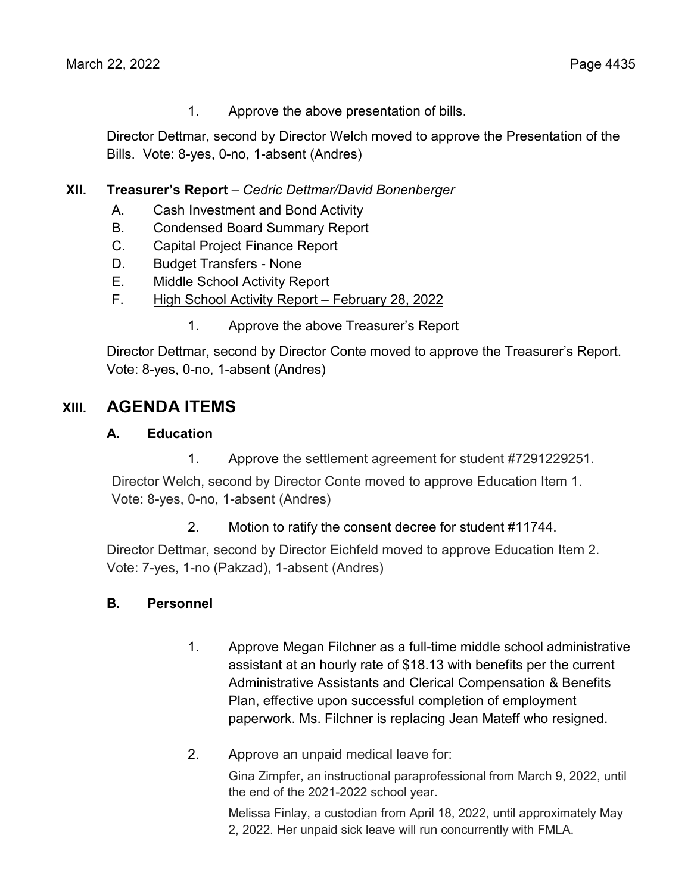1. Approve the above presentation of bills.

Director Dettmar, second by Director Welch moved to approve the Presentation of the Bills. Vote: 8-yes, 0-no, 1-absent (Andres)

# **XII. Treasurer's Report** – *Cedric Dettmar/David Bonenberger*

- A. Cash Investment and Bond Activity
- B. Condensed Board Summary Report
- C. Capital Project Finance Report
- D. Budget Transfers None
- E. Middle School Activity Report
- F. High School Activity Report February 28, 2022
	- 1. Approve the above Treasurer's Report

Director Dettmar, second by Director Conte moved to approve the Treasurer's Report. Vote: 8-yes, 0-no, 1-absent (Andres)

# **XIII. AGENDA ITEMS**

# **A. Education**

1. Approve the settlement agreement for student #7291229251.

Director Welch, second by Director Conte moved to approve Education Item 1. Vote: 8-yes, 0-no, 1-absent (Andres)

2. Motion to ratify the consent decree for student #11744.

Director Dettmar, second by Director Eichfeld moved to approve Education Item 2. Vote: 7-yes, 1-no (Pakzad), 1-absent (Andres)

# **B. Personnel**

- 1. Approve Megan Filchner as a full-time middle school administrative assistant at an hourly rate of \$18.13 with benefits per the current Administrative Assistants and Clerical Compensation & Benefits Plan, effective upon successful completion of employment paperwork. Ms. Filchner is replacing Jean Mateff who resigned.
- 2. Approve an unpaid medical leave for:

Gina Zimpfer, an instructional paraprofessional from March 9, 2022, until the end of the 2021-2022 school year.

Melissa Finlay, a custodian from April 18, 2022, until approximately May 2, 2022. Her unpaid sick leave will run concurrently with FMLA.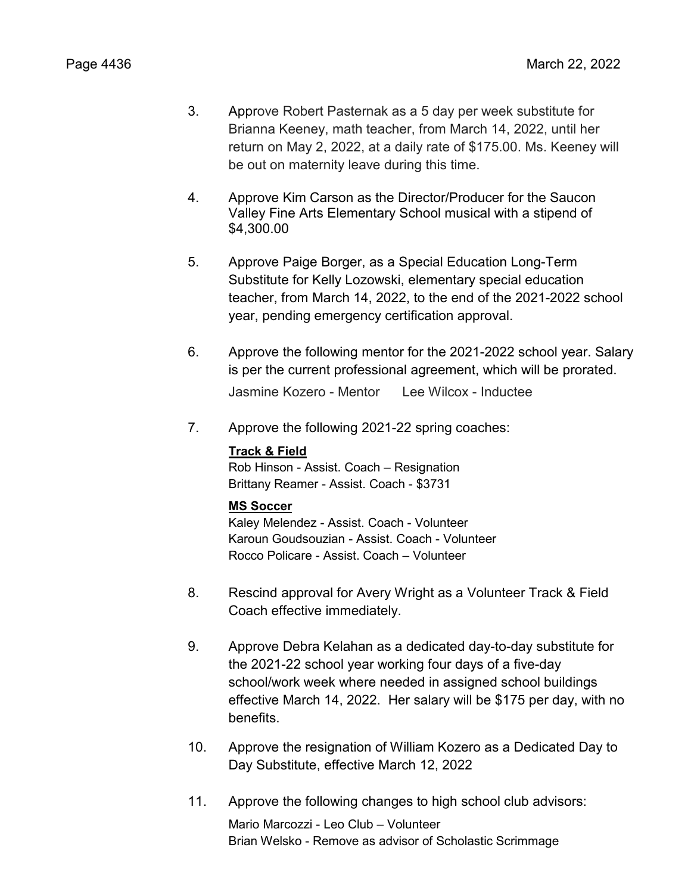- 3. Approve Robert Pasternak as a 5 day per week substitute for Brianna Keeney, math teacher, from March 14, 2022, until her return on May 2, 2022, at a daily rate of \$175.00. Ms. Keeney will be out on maternity leave during this time.
- 4. Approve Kim Carson as the Director/Producer for the Saucon Valley Fine Arts Elementary School musical with a stipend of \$4,300.00
- 5. Approve Paige Borger, as a Special Education Long-Term Substitute for Kelly Lozowski, elementary special education teacher, from March 14, 2022, to the end of the 2021-2022 school year, pending emergency certification approval.
- 6. Approve the following mentor for the 2021-2022 school year. Salary is per the current professional agreement, which will be prorated. Jasmine Kozero - Mentor Lee Wilcox - Inductee
- 7. Approve the following 2021-22 spring coaches:

#### **Track & Field**

Rob Hinson - Assist. Coach – Resignation Brittany Reamer - Assist. Coach - \$3731

## **MS Soccer**

Kaley Melendez - Assist. Coach - Volunteer Karoun Goudsouzian - Assist. Coach - Volunteer Rocco Policare - Assist. Coach – Volunteer

- 8. Rescind approval for Avery Wright as a Volunteer Track & Field Coach effective immediately.
- 9. Approve Debra Kelahan as a dedicated day-to-day substitute for the 2021-22 school year working four days of a five-day school/work week where needed in assigned school buildings effective March 14, 2022. Her salary will be \$175 per day, with no benefits.
- 10. Approve the resignation of William Kozero as a Dedicated Day to Day Substitute, effective March 12, 2022
- 11. Approve the following changes to high school club advisors:

Mario Marcozzi - Leo Club – Volunteer Brian Welsko - Remove as advisor of Scholastic Scrimmage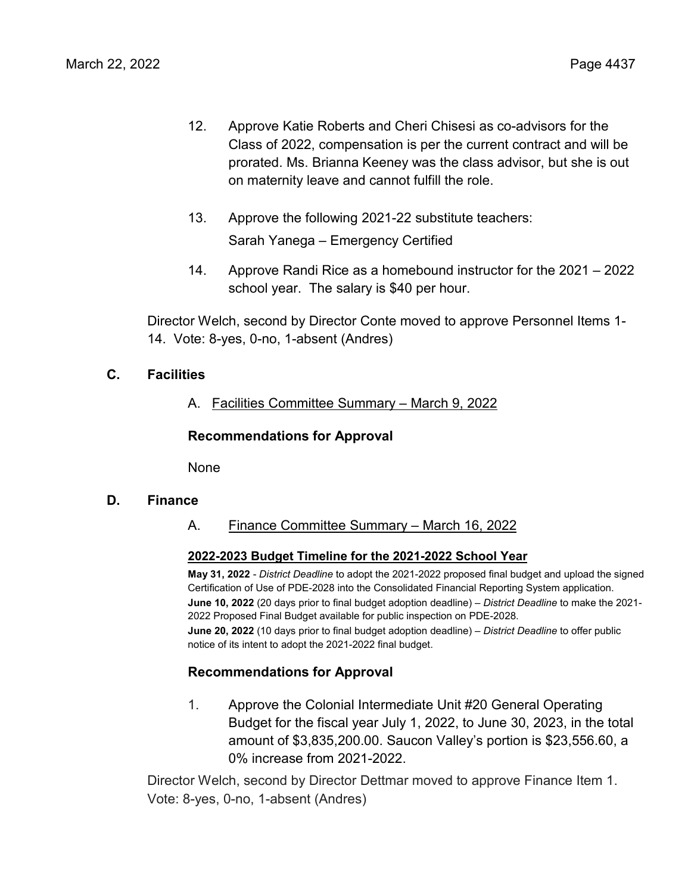- 12. Approve Katie Roberts and Cheri Chisesi as co-advisors for the Class of 2022, compensation is per the current contract and will be prorated. Ms. Brianna Keeney was the class advisor, but she is out on maternity leave and cannot fulfill the role.
- 13. Approve the following 2021-22 substitute teachers: Sarah Yanega – Emergency Certified
- 14. Approve Randi Rice as a homebound instructor for the 2021 2022 school year. The salary is \$40 per hour.

Director Welch, second by Director Conte moved to approve Personnel Items 1- 14. Vote: 8-yes, 0-no, 1-absent (Andres)

# **C. Facilities**

A. Facilities Committee Summary – March 9, 2022

# **Recommendations for Approval**

None

## **D. Finance**

A. Finance Committee Summary – March 16, 2022

## **2022-2023 Budget Timeline for the 2021-2022 School Year**

**May 31, 2022** - *District Deadline* to adopt the 2021-2022 proposed final budget and upload the signed Certification of Use of PDE-2028 into the Consolidated Financial Reporting System application. **June 10, 2022** (20 days prior to final budget adoption deadline) – *District Deadline* to make the 2021- 2022 Proposed Final Budget available for public inspection on PDE-2028. **June 20, 2022** (10 days prior to final budget adoption deadline) – *District Deadline* to offer public notice of its intent to adopt the 2021-2022 final budget.

# **Recommendations for Approval**

1. Approve the Colonial Intermediate Unit #20 General Operating Budget for the fiscal year July 1, 2022, to June 30, 2023, in the total amount of \$3,835,200.00. Saucon Valley's portion is \$23,556.60, a 0% increase from 2021-2022.

Director Welch, second by Director Dettmar moved to approve Finance Item 1. Vote: 8-yes, 0-no, 1-absent (Andres)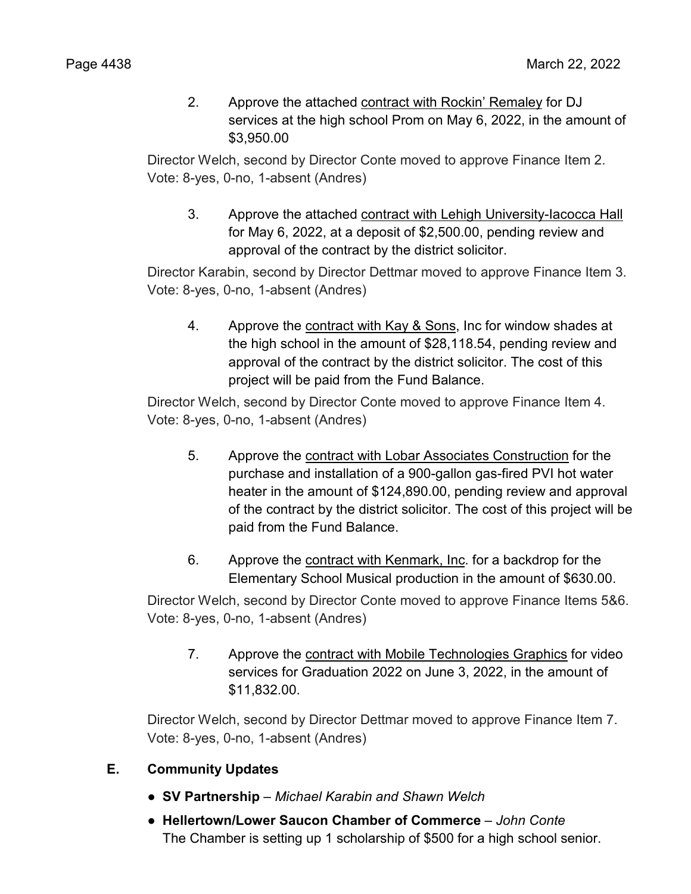2. Approve the attached contract with Rockin' Remaley for DJ services at the high school Prom on May 6, 2022, in the amount of \$3,950.00

Director Welch, second by Director Conte moved to approve Finance Item 2. Vote: 8-yes, 0-no, 1-absent (Andres)

3. Approve the attached contract with Lehigh University-Iacocca Hall for May 6, 2022, at a deposit of \$2,500.00, pending review and approval of the contract by the district solicitor.

Director Karabin, second by Director Dettmar moved to approve Finance Item 3. Vote: 8-yes, 0-no, 1-absent (Andres)

4. Approve the contract with Kay & Sons, Inc for window shades at the high school in the amount of \$28,118.54, pending review and approval of the contract by the district solicitor. The cost of this project will be paid from the Fund Balance.

Director Welch, second by Director Conte moved to approve Finance Item 4. Vote: 8-yes, 0-no, 1-absent (Andres)

- 5. Approve the contract with Lobar Associates Construction for the purchase and installation of a 900-gallon gas-fired PVI hot water heater in the amount of \$124,890.00, pending review and approval of the contract by the district solicitor. The cost of this project will be paid from the Fund Balance.
- 6. Approve the contract with Kenmark, Inc. for a backdrop for the Elementary School Musical production in the amount of \$630.00.

Director Welch, second by Director Conte moved to approve Finance Items 5&6. Vote: 8-yes, 0-no, 1-absent (Andres)

7. Approve the contract with Mobile Technologies Graphics for video services for Graduation 2022 on June 3, 2022, in the amount of \$11,832.00.

Director Welch, second by Director Dettmar moved to approve Finance Item 7. Vote: 8-yes, 0-no, 1-absent (Andres)

- **E. Community Updates**
	- **● SV Partnership**  *Michael Karabin and Shawn Welch*
	- **● Hellertown/Lower Saucon Chamber of Commerce** *– John Conte* The Chamber is setting up 1 scholarship of \$500 for a high school senior.